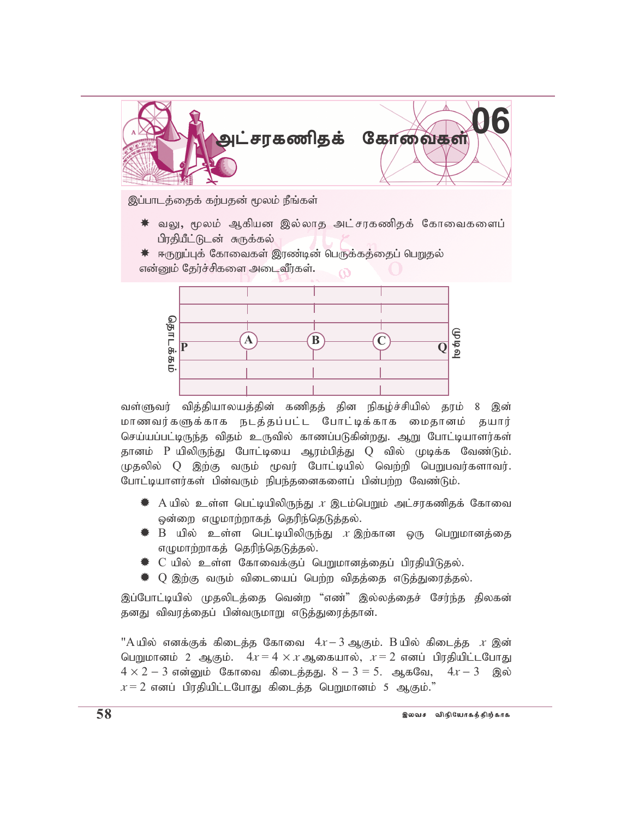

இப்பாடத்தைக் கற்பதன் மூலம் நீங்கள்

- $*$  வலு, மூலம் ஆகியன இல்லாத அட்சரகணிதக் கோவைகளைப் பிரதியீட்டுடன் சுருக்கல்
- $*$  ஈருறுப்புக் கோவைகள் இரண்டின் பெருக்கக்கைப் பெறுதல் என்னும் தேர்ச்சிகளை அடைவீர்கள்.  $\overline{O}$



வள்ளுவர் வித்தியாலயத்தின் கணிதத் தின நிகழ்ச்சியில் தரம் 8 இன் மாணவர்களுக்காக நடத்தப்பட்ட போட்டிக்காக மைதானம் தயார் செய்யப்பட்டிருந்த விதம் உருவில் காணப்படுகின்றது. ஆறு போட்டியாளர்கள் தானம் P யிலிருந்து போட்டியை ஆரம்பித்து Q வில் முடிக்க வேண்டும்.  $(\mu$ தலில்  $Q$  இற்கு வரும் மூவர் போட்டியில் வெற்றி பெறுபவர்களாவர். போட்டியாளர்கள் பின்வரும் நிபந்தனைகளைப் பின்பற்ற வேண்டும்.

- $\,$  A யில் உள்ள பெட்டியிலிருந்து  $x$  இடம்பெறும் அட்சரகணிதக் கோவை ஒன்றை எழுமாற்றாகத் தெரிந்தெடுத்தல்.
- $\clubsuit$  B யில் உள்ள பெட்டியிலிருந்து  $x$ இற்கான ஒரு பெறுமானத்தை எழுமாற்றாகத் தெரிந்தெடுத்தல்.
- $\clubsuit$  C யில் உள்ள கோவைக்குப் பெறுமானத்தைப் பிரதியிடுதல்.
- $\,$   $\,$  Q இற்கு வரும் விடையைப் பெற்ற விதத்தை எடுத்துரைத்தல்.

இப்போட்டியில் முதலிடத்தை வென்ற "எண்" இல்லத்தைச் சேர்ந்த திலகன் தனது விவரத்தைப் பின்வருமாறு எடுத்துரைத்தான்.

 $"A$ யில் எனக்குக் கிடைத்த கோவை  $4x-3$  ஆகும். B யில் கிடைத்த  $x$  இன் பெறுமானம் 2 ஆகும்.  $4x = 4 \times x$  ஆகையால்,  $x = 2$  எனப் பிரதியிட்டபோது  $4 \times 2 - 3$  என்னும் கோவை கிடைத்தது.  $8 - 3 = 5$ . ஆகவே,  $4x - 3$  இல்  $x = 2$  எனப் பிரதியிட்டபோது கிடைத்த பெறுமானம் 5 ஆகும்."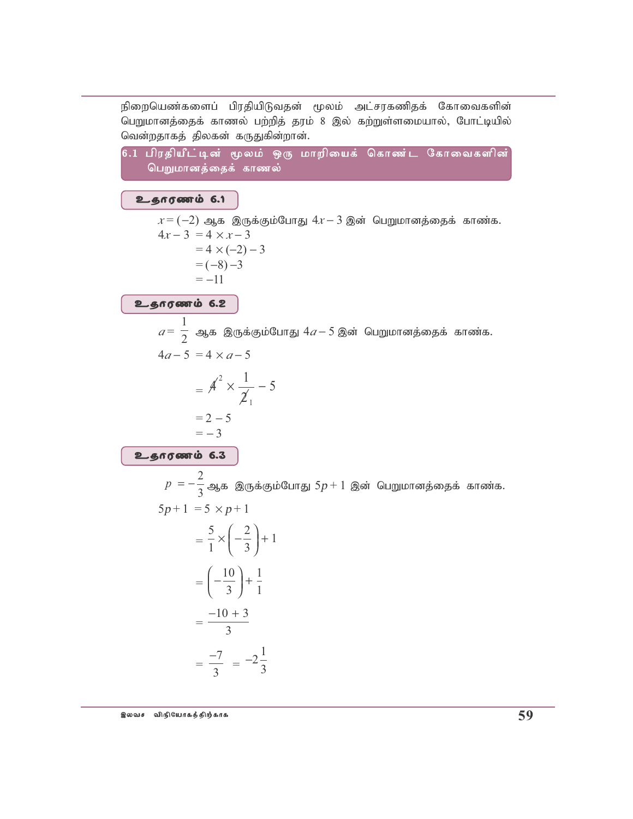நிறையெண்களைப் பிரதியிடுவதன் மூலம் அட்சரகணிதக் கோவைகளின் பெறுமானத்தைக் காணல் பற்றித் தரம் 8 இல் கற்றுள்ளமையால், போட்டியில் வென்றதாகத் திலகன் கருதுகின்றான்.

6.1 பிரதியீட்டின் மூலம் ஒரு மாறியைக் கொண்ட கோவைகளின் பெறுமானத்தைக் காணல்

உதாரணம் 6.1

 $x = (-2)$  ஆக இருக்கும்போது  $4x - 3$  இன் பெறுமானத்தைக் காண்க.  $4x-3 = 4 \times x-3$  $= 4 \times (-2) - 3$  $= (-8) -3$  $=-11$ 

உதாரணம் 6.2

 $a=\frac{1}{2}$  ஆக இருக்கும்போது  $4a-5$  இன் பெறுமானத்தைக் காண்க.  $4a-5 = 4 \times a-5$  $=$   $A^2 \times \frac{1}{2_1} - 5$  $= 2 - 5$  $=-3$ உதாரணம் 6.3

 $p = -\frac{2}{3}$ ஆக இருக்கும்போது 5 $p + 1$  இன் பெறுமானத்தைக் காண்க.  $5p+1 = 5 \times p+1$  $\frac{5}{2}$  ( $\frac{2}{1}$ ) + 1

$$
= \frac{1}{1} \times \left(-\frac{1}{3}\right)^{2}
$$

$$
= \left(-\frac{10}{3}\right) + \frac{1}{1}
$$

$$
= \frac{-10 + 3}{3}
$$

$$
= \frac{-7}{3} = -2\frac{1}{3}
$$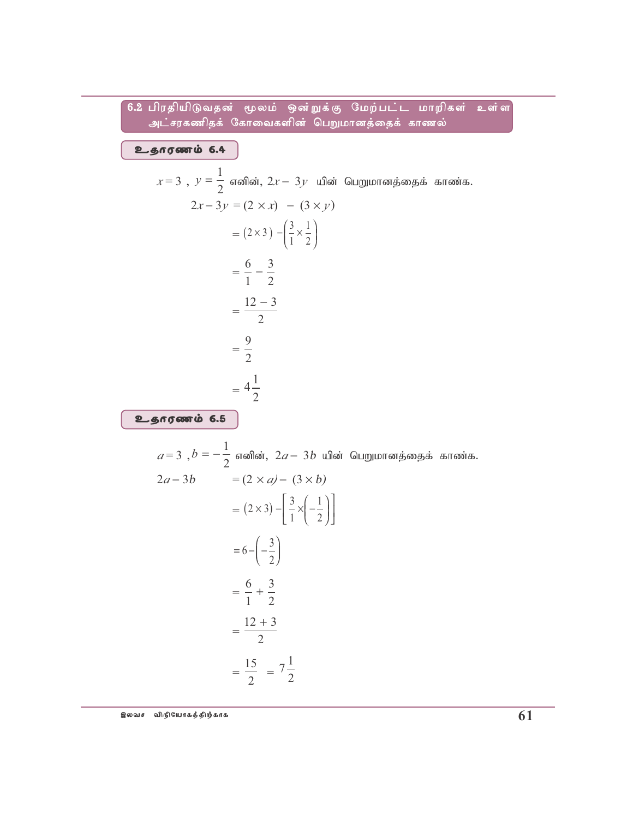## 6.2 பிரதியிடுவதன் மூலம் ஒன்றுக்கு மேற்பட்ட மாறிகள் உள்ள அட்சரகணிதக் கோவைகளின் பெறுமானத்தைக் காணல்

உதாரணம் 6.4

$$
x = 3, y = \frac{1}{2} \text{ and } x = 2y \text{ and } y = 2x - 3y = (2 \times x) - (3 \times y)
$$
  
=  $(2 \times 3) -(\frac{3}{1} \times \frac{1}{2})$   
=  $\frac{6}{1} - \frac{3}{2}$   
=  $\frac{12 - 3}{2}$   
=  $\frac{9}{2}$   
=  $4\frac{1}{2}$   
=  $4\frac{1}{2}$ 

$$
a=3, b=-\frac{1}{2} \text{ and } a, 2a-3b \text{ and } a \text{ or } a \text{ is a } x \text{ and } a \text{ is a } x \text{ and } a \text{ is a } x \text{ and } a \text{ is a } x \text{ and } a \text{ is a } x \text{ and } a \text{ is a } x \text{ and } a \text{ is a } x \text{ and } a \text{ is a } x \text{ and } a \text{ is a } x \text{ and } a \text{ is a } x \text{ and } a \text{ is a } x \text{ and } a \text{ is a } x \text{ and } a \text{ is a } x \text{ and } a \text{ is a } x \text{ and } a \text{ is a } x \text{ and } a \text{ is a } x \text{ and } a \text{ is a } x \text{ and } a \text{ is a } x \text{ and } a \text{ is a } x \text{ and } a \text{ is a } x \text{ and } a \text{ is a } x \text{ and } a \text{ is a } x \text{ and } a \text{ is a } x \text{ and } a \text{ is a } x \text{ and } a \text{ is a } x \text{ and } a \text{ is a } x \text{ and } a \text{ is a } x \text{ and } a \text{ is a } x \text{ and } a \text{ is a } x \text{ and } a \text{ is a } x \text{ and } a \text{ is a } x \text{ and } a \text{ is a } x \text{ and } a \text{ is a } x \text{ and } a \text{ is a } x \text{ and } a \text{ is a } x \text{ and } a \text{ is a } x \text{ and } a \text{ is a } x \text{ and } a \text{ is a } x \text{ and } a \text{ is a } x \text{ and } a \text{ is a } x \text{ and } a \text{ is a } x \text{ and } a \text{ is a } x \text{ and } a \text{ is a } x \text{ and } a \text{ is a } x \text{ and } a \text{ is a } x \text{ and } a \text{ is a } x \text{ and } a \text{ is a } x \text{ and } a \text{ is a } x \text{ and } a \text{ is a } x \text{ and } a \text{ is a } x \text{ and } a \text{ is a } x \text{ and } a \text{ is a } x \text{ and } a \text{ is a } x \text{ and } a \text{ is a } x \text{ and } a \text{ is a } x \text{ and } a \text{ is a }
$$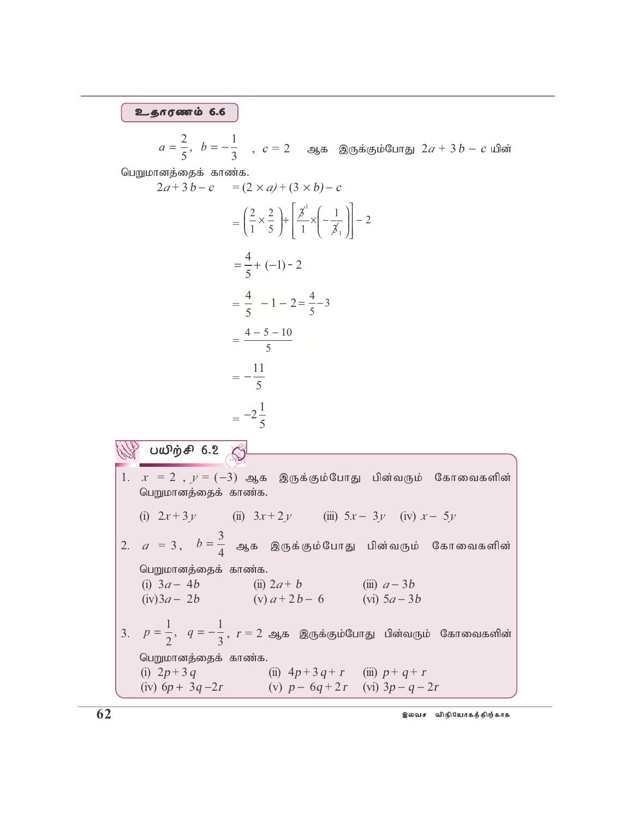#### உதாரணம் 6.6

 $a = \frac{2}{a}$ ,  $b = -$ 5 1 ,  $b = -\frac{1}{3}$ ,  $c = 2$  ஆக இருக்கும்போது  $2a + 3b - c$  யின்

பெறுமானத்தைக் காண்க.

 $\sqrt[3]{}$  பயிற்சி 6.2  $\otimes$ 

$$
2a+3b-c = (2 \times a) + (3 \times b) - c
$$
  
=  $\left(\frac{2}{1} \times \frac{2}{5}\right) + \left[\frac{3}{1} \times \left(-\frac{1}{3}\right)\right] - 2$   
=  $\frac{4}{5} + (-1) - 2$   
=  $\frac{4}{5} - 1 - 2 = \frac{4}{5} - 3$   
=  $\frac{4-5-10}{5}$   
=  $-\frac{11}{5}$   
=  $-2\frac{1}{5}$ 

1.  $x = 2$ ,  $y = (-3)$  ஆக இருக்கும்போது பின்வரும் கோவைகளின் பெறுமானத்தைக் காண்க. (i) 2*x* + 3*<sup>y</sup>* (ii) 3*x* + 2*<sup>y</sup>* (iii) 5*<sup>x</sup>* − 3*<sup>y</sup>* (iv) *<sup>x</sup>* − 5*<sup>y</sup>* 2.  $a = 3$ ,  $b = \frac{3}{4}$  $\begin{bmatrix} \frac{1}{4} & \frac{\sqrt{3}}{4} & \frac{\sqrt{3}}{4} & \frac{\sqrt{3}}{4} & \frac{\sqrt{3}}{4} & \frac{\sqrt{3}}{4} & \frac{\sqrt{3}}{4} & \frac{\sqrt{3}}{4} & \frac{\sqrt{3}}{4} & \frac{\sqrt{3}}{4} & \frac{\sqrt{3}}{4} & \frac{\sqrt{3}}{4} & \frac{\sqrt{3}}{4} & \frac{\sqrt{3}}{4} & \frac{\sqrt{3}}{4} & \frac{\sqrt{3}}{4} & \frac{\sqrt{3}}{4} & \frac{\sqrt{3}}{4} & \frac{\sqrt{3}}{4} & \frac{\sqrt{3}}$ பெறுமானத்தைக் காண்க. (i) 3*<sup>a</sup>* − 4b (ii) 2*a* + b (iii) *<sup>a</sup>* − 3b (iv)3*<sup>a</sup>* − 2b (v) *<sup>a</sup>* + 2b − 6 (vi) 5*<sup>a</sup>* − 3b 3.  $p = \frac{1}{2}, q = -$ 2 1 ,  $q = -\frac{1}{3}$ ,  $r = 2$  ஆக இருக்கும்போது பின்வரும் கோவைகளின் பெறுமானத்தைக் காண்க. (i)  $2p+3q$  (ii)  $4p+3q+r$  (iii)  $p+q+r$ (iv)  $6p + 3q - 2r$  (v)  $p - 6q + 2r$  (vi)  $3p - q - 2r$ 

 $62$  , which is the property of the set of  $\mathbb{S}^{q}$  and  $\mathbb{S}^{q}$  and  $\mathbb{S}^{q}$  and  $\mathbb{S}^{q}$  and  $\mathbb{S}^{q}$  and  $\mathbb{S}^{q}$  and  $\mathbb{S}^{q}$  and  $\mathbb{S}^{q}$  and  $\mathbb{S}^{q}$  and  $\mathbb{S}^{q}$  and  $\mathbb{S}^{q}$  and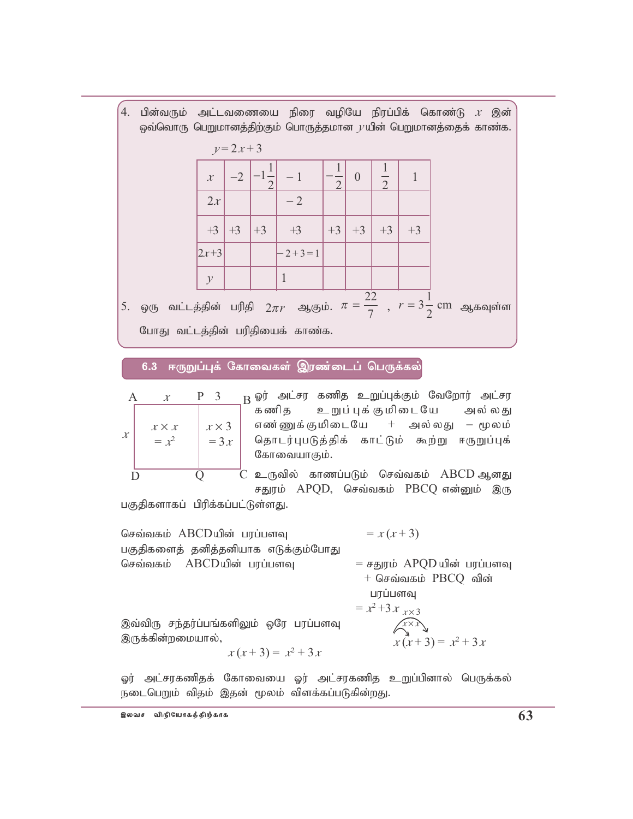4. பின்வரும் அட்டவணையை நிரை வழியே நிரப்பிக் கொண்டு  $x$  இன் ஒவ்வொரு பெறுமானத்திற்கும் பொருத்தமான  $\nu$ யின் பெறுமானத்தைக் காண்க.

|                                                                                                 |               | $y=2x+3$ |      |                         |                |          |                |      |  |  |
|-------------------------------------------------------------------------------------------------|---------------|----------|------|-------------------------|----------------|----------|----------------|------|--|--|
|                                                                                                 | $\mathcal{X}$ | $-2$     |      | $\left  -1 \right $ - 1 | $\overline{2}$ | $\theta$ | $\overline{2}$ |      |  |  |
|                                                                                                 | 2x            |          |      | $-2$                    |                |          |                |      |  |  |
|                                                                                                 | $+3$          | $+3$     | $+3$ | $+3$                    | $+3$           | $+3$     | $+3$           | $+3$ |  |  |
|                                                                                                 | $ 2x+3 $      |          |      | $-2+3=1$                |                |          |                |      |  |  |
|                                                                                                 | $\mathcal{V}$ |          |      |                         |                |          |                |      |  |  |
| ஒரு வட்டத்தின் பரிதி $2\pi r$ ஆகும். $\pi = \frac{22}{7}$ , $r = 3\frac{1}{2}$ cm ஆகவுள்ள<br>5. |               |          |      |                         |                |          |                |      |  |  |
| போது வட்டத்தின் பரிதியைக் காண்க.                                                                |               |          |      |                         |                |          |                |      |  |  |

6.3 ஈருறுப்புக் கோவைகள் இரண்டைப் பெருக்கல்

$$
x \begin{bmatrix} 1 & x & x & x \\ x & x & x & x \\ x & x & x & x \\ y & x & y & x \\ y & y & y & y \\ z & y & z & z \\ y & z & z & z \\ z & z & z & z \\ z & z & z & z \\ z & z & z & z \\ z & z & z & z \\ z & z & z & z \\ z & z & z & z \\ z & z & z & z \\ z & z & z & z \\ z & z & z & z \\ z & z & z & z \\ z & z & z & z \\ z & z & z & z \\ z & z & z & z \\ z & z & z & z \\ z & z & z & z \\ z & z & z & z \\ z & z & z & z \\ z & z & z & z \\ z & z & z & z \\ z & z & z & z \\ z & z & z & z \\ z & z & z & z \\ z & z & z & z \\ z & z & z & z \\ z & z & z & z \\ z & z & z & z \\ z & z & z & z \\ z & z & z & z \\ z & z & z & z \\ z & z & z & z \\ z & z & z & z \\ z & z & z & z \\ z & z & z & z \\ z & z & z & z \\ z & z & z & z \\ z & z & z & z \\ z & z & z & z \\ z & z & z & z \\ z & z & z & z \\ z & z & z & z \\ z & z & z & z \\ z & z & z & z \\ z & z & z & z \\ z & z & z & z \\ z & z & z & z \\ z & z & z & z \\ z & z & z & z \\ z & z & z & z \\ z & z & z & z \\ z & z & z & z \\ z & z & z & z \\ z & z & z & z \\ z & z & z & z \\ z & z & z & z \\ z & z & z & z \\ z & z & z & z \\ z & z & z & z \\ z & z & z & z \\ z & z & z & z \\ z & z & z & z \\ z & z & z & z \\ z & z & z & z \\ z & z & z & z \\ z & z & z & z \\ z & z & z & z \\ z & z & z & z \\ z & z & z & z \\ z & z & z & z \\ z & z & z & z \\ z & z & z & z \\ z & z & z & z \\ z & z & z & z \\ z & z & z & z \\ z & z & z & z \\ z & z & z & z \\ z & z & z & z \\ z & z & z & z \\ z & z & z & z \\ z & z & z & z \\ z & z & z & z \\ z & z & z & z & z \\ z & z & z & z & z \\ z & z & z & z & z \\ z & z & z & z & z \\ z & z & z & z & z \\ z & z & z
$$

ஓர் அட்சர கணித உறுப்புக்கும் வேறோர் அட்சர உறுப் புக் குமிடையே கணி க அல் லது எண்ணுக்குமிடையே + அல்லது – மூலம் தொடர்புபடுத்திக் காட்டும் கூற்று ஈருறுப்புக் கோவையாகும்.

 $\widehat{X^{\times}x}$ <br> $x(x+3) = x^2 + 3x$ 

உருவில் காணப்படும் செவ்வகம் ABCDஆனது சதுரம் APQD, செவ்வகம் PBCQ என்னும் இரு

பகுதிகளாகப் பிரிக்கப்பட்டுள்ளது.

 $= x(x+3)$ செவ்வகம் ABCDயின் பரப்பளவு பகுதிகளைத் தனித்தனியாக எடுக்கும்போது செவ்வகம் ABCDயின் பரப்பளவு = சதுரம் APQD யின் பரப்பளவு  $+$  செவ்வகம்  $\overline{P}$ BCQ வின் பரப்பளவு  $= x^2 + 3x_{1}x^3$ 

இவ்விரு சந்தர்ப்பங்களிலும் ஒரே பரப்பளவு இருக்கின்றமையால்,

$$
x(x+3) = x^2 + 3x
$$

ஓர் அட்சரகணிதக் கோவையை ஓர் அட்சரகணித உறுப்பினால் பெருக்கல் நடைபெறும் விதம் இதன் மூலம் விளக்கப்படுகின்றது.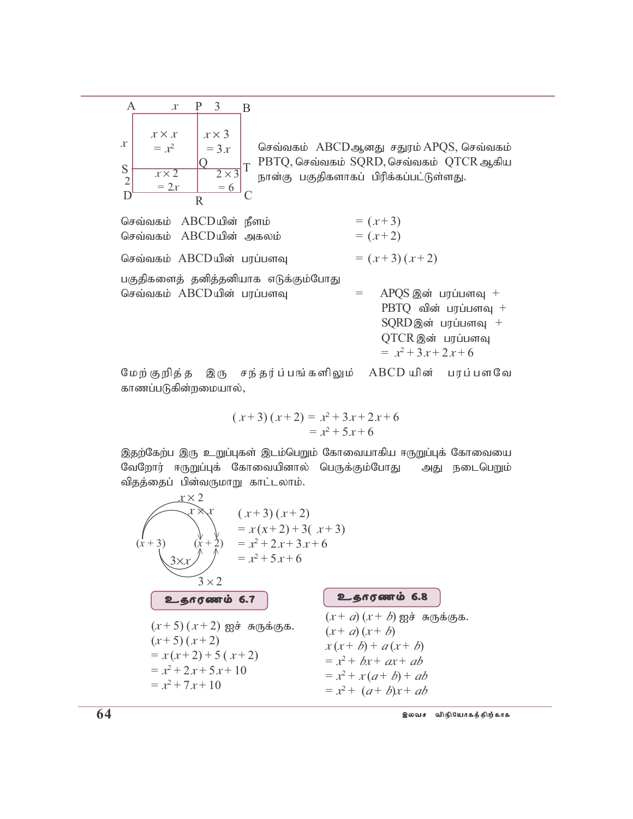|                  | x                       | 3                      | В |
|------------------|-------------------------|------------------------|---|
| $\mathcal{X}$    | $x \times x$<br>$= x^2$ | $x \times 3$<br>$=3x$  |   |
| $S$ <sub>2</sub> | $x \times 2$            | $\overline{2\times 3}$ | T |
|                  | $=2x$                   | $= 6$<br>$\mathbf R$   |   |

செவ்வகம் ABCDஆனது சதுரம் APQS, செவ்வகம் PBTQ, செவ்வகம் SQRD, செவ்வகம் QTCR ஆகிய நான்கு பகுதிகளாகப் பிரிக்கப்பட்டுள்ளது.

| செவ்வகம் ABCDயின் நீளம்<br>செவ்வகம் ABCDயின் அகலம்                 | $=(x+3)$<br>$=(x+2)$                                                                                                            |
|--------------------------------------------------------------------|---------------------------------------------------------------------------------------------------------------------------------|
| செவ்வகம் ABCDயின் பரப்பளவு                                         | $=(x+3)(x+2)$                                                                                                                   |
| பகுதிகளைத் தனித்தனியாக எடுக்கும்போது<br>செவ்வகம் ABCDயின் பரப்பளவு | $APQS$ இன் பரப்பளவு $+$<br>$=$<br>$PBTQ$ வின் பரப்பளவு -<br>$SQRD$ இன் பரப்பளவு +<br>QTCR இன் பரப்பளவு<br>$= x^2 + 3x + 2x + 6$ |
|                                                                    | $\cdots$ $\cdots$                                                                                                               |

இரு சந்தர்ப்பங்களிலும் ABCDயின் பரப்பளவே மேற் குறித் த காணப்படுகின்றமையால்,

$$
(x+3)(x+2) = x^2 + 3x + 2x + 6
$$
  
= x<sup>2</sup> + 5x + 6

இதற்கேற்ப இரு உறுப்புகள் இடம்பெறும் கோவையாகிய ஈருறுப்புக் கோவையை வேறோர் ஈருறுப்புக் கோவையினால் பெருக்கும்போது அது நடைபெறும் விதத்தைப் பின்வருமாறு காட்டலாம்.

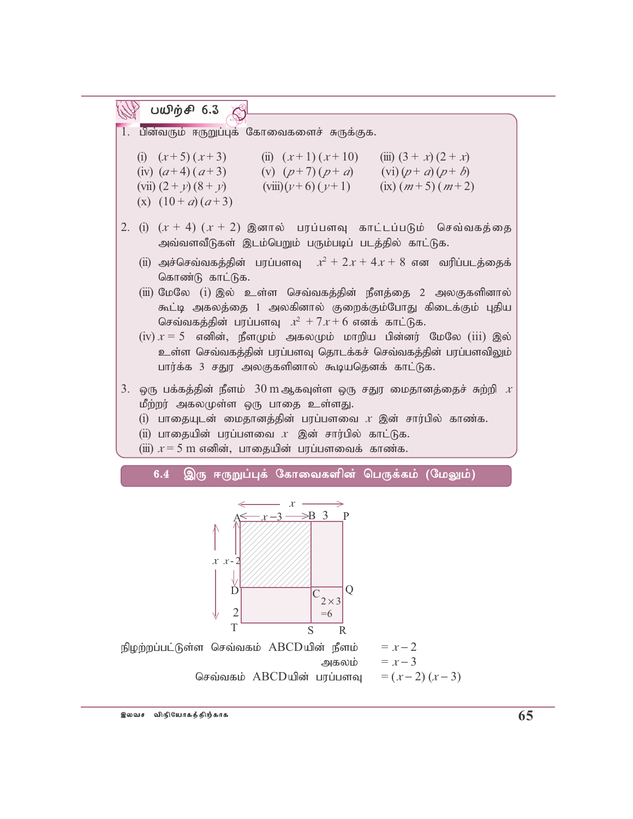

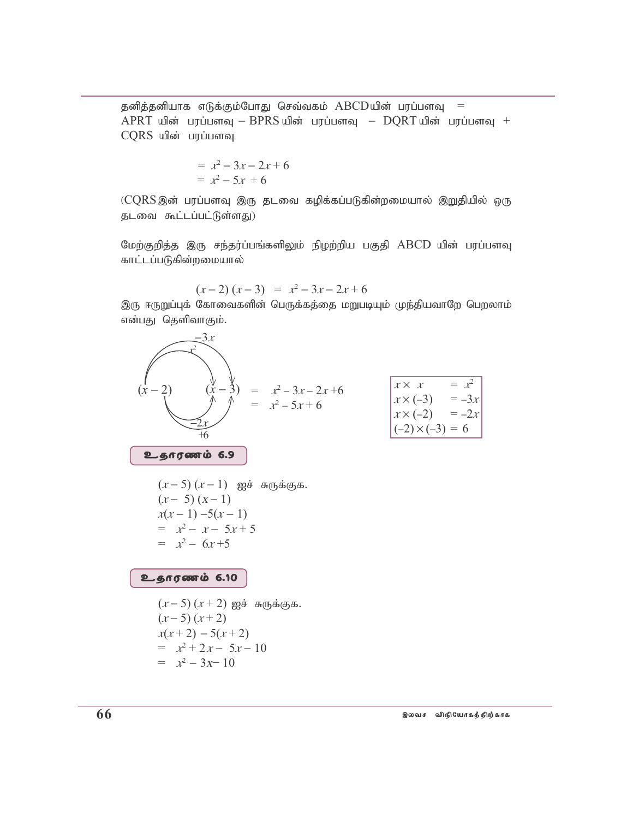தனித்தனியாக எடுக்கும்போது செவ்வகம் ABCDயின் பரப்பளவு =  $APRT$  யின் பரப்பளவு –  $BPRS$ யின் பரப்பளவு –  $DQRT$ யின் பரப்பளவு + CQRS யின் பரப்பளவு

$$
= x2 - 3x - 2x + 6
$$
  
= x<sup>2</sup> - 5x + 6

(CQRS இன் பரப்பளவு இரு தடவை கழிக்கப்படுகின்றமையால் இறுதியில் ஒரு தடவை கூட்டப்பட்டுள்ளது)

மேற்குறித்த இரு சந்தர்ப்பங்களிலும் நிழற்றிய பகுதி ABCD யின் பரப்பளவு காட்டப்படுகின்றமையால்

$$
(x-2)(x-3) = x^2-3x-2x+6
$$

இரு ஈருறுப்புக் கோவைகளின் பெருக்கத்தை மறுபடியும் முந்தியவாறே பெறலாம் என்பது தெளிவாகும்.

$$
(x-2) \quad (x-3) = x^2 - 3x - 2x + 6
$$
\n
$$
x \times x = x^2
$$
\n
$$
x \times (-3) = -3x
$$
\n
$$
x \times (-2) = -2x
$$
\n
$$
x \times (-2) = -2x
$$
\n
$$
x \times (-2) = -2x
$$
\n
$$
x \times (-2) = -2x
$$
\n
$$
x \times (-2) = -2x
$$
\n
$$
x \times (-2) = -2x
$$
\n
$$
x \times (-2) = -2x
$$
\n
$$
x \times (-2) = -2x
$$
\n
$$
x \times (-2) = -2x
$$
\n
$$
x \times (-2) = -2x
$$
\n
$$
x \times (-2) = -2x
$$
\n
$$
x \times (-3) = -3x
$$
\n
$$
x \times (-3) = -3x
$$
\n
$$
x \times (-2) = -2x
$$
\n
$$
x \times (-3) = -3x
$$
\n
$$
x \times (-2) = -2x
$$
\n
$$
x \times (-3) = -3x
$$
\n
$$
x \times (-2) = -2x
$$
\n
$$
x \times (-3) = -3x
$$
\n
$$
x \times (-2) = -2x
$$
\n
$$
x \times (-2) = -2x
$$
\n
$$
x \times (-2) = -2x
$$
\n
$$
x \times (-2) = -2x
$$
\n
$$
x \times (-3) = -3x
$$
\n
$$
x \times (-2) = -2x
$$
\n
$$
x \times (-3) = -3x
$$
\n
$$
x \times (-2) = -2x
$$
\n
$$
x \times (-2) = -2x
$$
\n
$$
x \times (-2) = -2x
$$
\n
$$
x \times (-2) = -2x
$$
\n
$$
x \times (-3) = -3x
$$
\n
$$
x \times (-2) = -2x
$$
\n
$$
x \times (-2) = -2x
$$
\n
$$
x \times (-2) = -2x
$$
\n
$$
x \times (-2
$$

$$
= x^2 - 3x - 10
$$